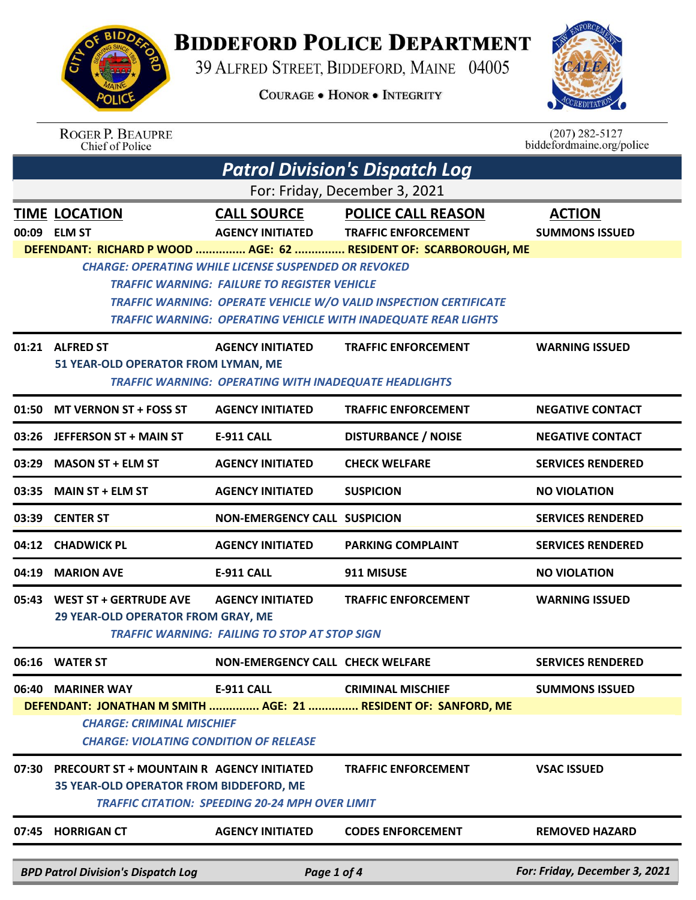## **BIDDEFORD POLICE DEPARTMENT**

39 ALFRED STREET, BIDDEFORD, MAINE 04005

**COURAGE . HONOR . INTEGRITY** 



|                                                                                   | <b>ROGER P. BEAUPRE</b><br>Chief of Police                                                        |                                                                                                                    |                                                                          | $(207)$ 282-5127<br>biddefordmaine.org/police |  |  |
|-----------------------------------------------------------------------------------|---------------------------------------------------------------------------------------------------|--------------------------------------------------------------------------------------------------------------------|--------------------------------------------------------------------------|-----------------------------------------------|--|--|
|                                                                                   | <b>Patrol Division's Dispatch Log</b>                                                             |                                                                                                                    |                                                                          |                                               |  |  |
|                                                                                   |                                                                                                   |                                                                                                                    | For: Friday, December 3, 2021                                            |                                               |  |  |
|                                                                                   | <b>TIME LOCATION</b>                                                                              | <b>CALL SOURCE</b>                                                                                                 | <b>POLICE CALL REASON</b>                                                | <b>ACTION</b>                                 |  |  |
|                                                                                   | 00:09 ELM ST                                                                                      | <b>AGENCY INITIATED</b>                                                                                            | <b>TRAFFIC ENFORCEMENT</b>                                               | <b>SUMMONS ISSUED</b>                         |  |  |
|                                                                                   |                                                                                                   |                                                                                                                    | DEFENDANT: RICHARD P WOOD  AGE: 62  RESIDENT OF: SCARBOROUGH, ME         |                                               |  |  |
|                                                                                   |                                                                                                   | <b>CHARGE: OPERATING WHILE LICENSE SUSPENDED OR REVOKED</b><br><b>TRAFFIC WARNING: FAILURE TO REGISTER VEHICLE</b> |                                                                          |                                               |  |  |
|                                                                                   |                                                                                                   |                                                                                                                    | <b>TRAFFIC WARNING: OPERATE VEHICLE W/O VALID INSPECTION CERTIFICATE</b> |                                               |  |  |
|                                                                                   |                                                                                                   |                                                                                                                    | <b>TRAFFIC WARNING: OPERATING VEHICLE WITH INADEQUATE REAR LIGHTS</b>    |                                               |  |  |
|                                                                                   | 01:21 ALFRED ST                                                                                   | <b>AGENCY INITIATED</b>                                                                                            | <b>TRAFFIC ENFORCEMENT</b>                                               | <b>WARNING ISSUED</b>                         |  |  |
|                                                                                   | 51 YEAR-OLD OPERATOR FROM LYMAN, ME                                                               | <b>TRAFFIC WARNING: OPERATING WITH INADEQUATE HEADLIGHTS</b>                                                       |                                                                          |                                               |  |  |
| 01:50                                                                             | <b>MT VERNON ST + FOSS ST</b>                                                                     | <b>AGENCY INITIATED</b>                                                                                            | <b>TRAFFIC ENFORCEMENT</b>                                               | <b>NEGATIVE CONTACT</b>                       |  |  |
|                                                                                   | 03:26 JEFFERSON ST + MAIN ST                                                                      | <b>E-911 CALL</b>                                                                                                  | <b>DISTURBANCE / NOISE</b>                                               | <b>NEGATIVE CONTACT</b>                       |  |  |
| 03:29                                                                             | <b>MASON ST + ELM ST</b>                                                                          | <b>AGENCY INITIATED</b>                                                                                            | <b>CHECK WELFARE</b>                                                     | <b>SERVICES RENDERED</b>                      |  |  |
| 03:35                                                                             | <b>MAIN ST + ELM ST</b>                                                                           | <b>AGENCY INITIATED</b>                                                                                            | <b>SUSPICION</b>                                                         | <b>NO VIOLATION</b>                           |  |  |
| 03:39                                                                             | <b>CENTER ST</b>                                                                                  | <b>NON-EMERGENCY CALL SUSPICION</b>                                                                                |                                                                          | <b>SERVICES RENDERED</b>                      |  |  |
| 04:12                                                                             | <b>CHADWICK PL</b>                                                                                | <b>AGENCY INITIATED</b>                                                                                            | <b>PARKING COMPLAINT</b>                                                 | <b>SERVICES RENDERED</b>                      |  |  |
| 04:19                                                                             | <b>MARION AVE</b>                                                                                 | <b>E-911 CALL</b>                                                                                                  | 911 MISUSE                                                               | <b>NO VIOLATION</b>                           |  |  |
| 05:43                                                                             | <b>WEST ST + GERTRUDE AVE</b>                                                                     | <b>AGENCY INITIATED</b>                                                                                            | <b>TRAFFIC ENFORCEMENT</b>                                               | <b>WARNING ISSUED</b>                         |  |  |
|                                                                                   | 29 YEAR-OLD OPERATOR FROM GRAY, ME                                                                | <b>TRAFFIC WARNING: FAILING TO STOP AT STOP SIGN</b>                                                               |                                                                          |                                               |  |  |
|                                                                                   | 06:16 WATER ST                                                                                    | <b>NON-EMERGENCY CALL CHECK WELFARE</b>                                                                            |                                                                          | <b>SERVICES RENDERED</b>                      |  |  |
|                                                                                   | 06:40 MARINER WAY                                                                                 | <b>E-911 CALL</b>                                                                                                  | <b>CRIMINAL MISCHIEF</b>                                                 | <b>SUMMONS ISSUED</b>                         |  |  |
| DEFENDANT: JONATHAN M SMITH  AGE: 21  RESIDENT OF: SANFORD, ME                    |                                                                                                   |                                                                                                                    |                                                                          |                                               |  |  |
| <b>CHARGE: CRIMINAL MISCHIEF</b><br><b>CHARGE: VIOLATING CONDITION OF RELEASE</b> |                                                                                                   |                                                                                                                    |                                                                          |                                               |  |  |
|                                                                                   |                                                                                                   |                                                                                                                    |                                                                          |                                               |  |  |
| 07:30                                                                             | <b>PRECOURT ST + MOUNTAIN R AGENCY INITIATED</b>                                                  |                                                                                                                    | <b>TRAFFIC ENFORCEMENT</b>                                               | <b>VSAC ISSUED</b>                            |  |  |
|                                                                                   | 35 YEAR-OLD OPERATOR FROM BIDDEFORD, ME<br><b>TRAFFIC CITATION: SPEEDING 20-24 MPH OVER LIMIT</b> |                                                                                                                    |                                                                          |                                               |  |  |
|                                                                                   | 07:45 HORRIGAN CT                                                                                 | <b>AGENCY INITIATED</b>                                                                                            | <b>CODES ENFORCEMENT</b>                                                 | <b>REMOVED HAZARD</b>                         |  |  |
|                                                                                   |                                                                                                   |                                                                                                                    |                                                                          |                                               |  |  |
|                                                                                   | RPD Patrol Division's Dispatch Log entry and the Page 1 of 4                                      |                                                                                                                    |                                                                          | <b>For: Friday, December 3, 2021</b>          |  |  |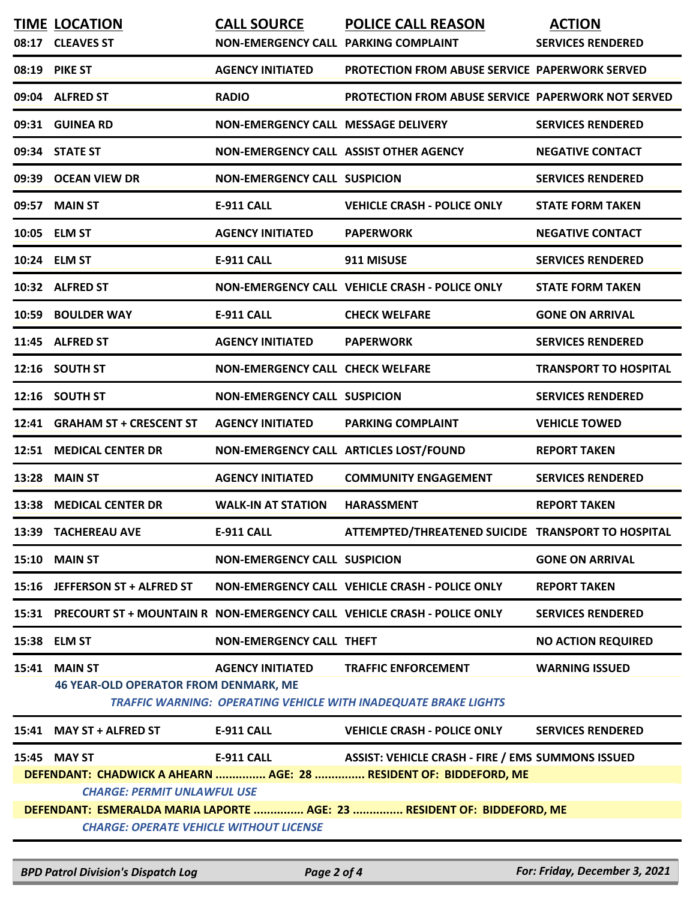|                                                                                                               | <b>TIME LOCATION</b>                                           | <b>CALL SOURCE</b>                         | <b>POLICE CALL REASON</b>                                                                            | <b>ACTION</b>                |
|---------------------------------------------------------------------------------------------------------------|----------------------------------------------------------------|--------------------------------------------|------------------------------------------------------------------------------------------------------|------------------------------|
|                                                                                                               | 08:17 CLEAVES ST                                               | NON-EMERGENCY CALL PARKING COMPLAINT       |                                                                                                      | <b>SERVICES RENDERED</b>     |
| 08:19                                                                                                         | <b>PIKE ST</b>                                                 | <b>AGENCY INITIATED</b>                    | <b>PROTECTION FROM ABUSE SERVICE PAPERWORK SERVED</b>                                                |                              |
|                                                                                                               | 09:04 ALFRED ST                                                | <b>RADIO</b>                               | <b>PROTECTION FROM ABUSE SERVICE PAPERWORK NOT SERVED</b>                                            |                              |
|                                                                                                               | 09:31 GUINEA RD                                                | <b>NON-EMERGENCY CALL MESSAGE DELIVERY</b> |                                                                                                      | <b>SERVICES RENDERED</b>     |
|                                                                                                               | 09:34 STATE ST                                                 | NON-EMERGENCY CALL ASSIST OTHER AGENCY     |                                                                                                      | <b>NEGATIVE CONTACT</b>      |
| 09:39                                                                                                         | <b>OCEAN VIEW DR</b>                                           | <b>NON-EMERGENCY CALL SUSPICION</b>        |                                                                                                      | <b>SERVICES RENDERED</b>     |
| 09:57                                                                                                         | <b>MAIN ST</b>                                                 | <b>E-911 CALL</b>                          | <b>VEHICLE CRASH - POLICE ONLY</b>                                                                   | <b>STATE FORM TAKEN</b>      |
|                                                                                                               | 10:05 ELM ST                                                   | <b>AGENCY INITIATED</b>                    | <b>PAPERWORK</b>                                                                                     | <b>NEGATIVE CONTACT</b>      |
|                                                                                                               | 10:24 ELM ST                                                   | E-911 CALL                                 | 911 MISUSE                                                                                           | <b>SERVICES RENDERED</b>     |
|                                                                                                               | 10:32 ALFRED ST                                                |                                            | NON-EMERGENCY CALL VEHICLE CRASH - POLICE ONLY                                                       | <b>STATE FORM TAKEN</b>      |
| 10:59                                                                                                         | <b>BOULDER WAY</b>                                             | <b>E-911 CALL</b>                          | <b>CHECK WELFARE</b>                                                                                 | <b>GONE ON ARRIVAL</b>       |
|                                                                                                               | 11:45 ALFRED ST                                                | <b>AGENCY INITIATED</b>                    | <b>PAPERWORK</b>                                                                                     | <b>SERVICES RENDERED</b>     |
|                                                                                                               | 12:16 SOUTH ST                                                 | <b>NON-EMERGENCY CALL CHECK WELFARE</b>    |                                                                                                      | <b>TRANSPORT TO HOSPITAL</b> |
|                                                                                                               | 12:16 SOUTH ST                                                 | <b>NON-EMERGENCY CALL SUSPICION</b>        |                                                                                                      | <b>SERVICES RENDERED</b>     |
|                                                                                                               | 12:41 GRAHAM ST + CRESCENT ST                                  | <b>AGENCY INITIATED</b>                    | <b>PARKING COMPLAINT</b>                                                                             | <b>VEHICLE TOWED</b>         |
|                                                                                                               | 12:51 MEDICAL CENTER DR                                        | NON-EMERGENCY CALL ARTICLES LOST/FOUND     |                                                                                                      | <b>REPORT TAKEN</b>          |
| 13:28                                                                                                         | <b>MAIN ST</b>                                                 | <b>AGENCY INITIATED</b>                    | <b>COMMUNITY ENGAGEMENT</b>                                                                          | <b>SERVICES RENDERED</b>     |
| 13:38                                                                                                         | <b>MEDICAL CENTER DR</b>                                       | <b>WALK-IN AT STATION</b>                  | <b>HARASSMENT</b>                                                                                    | <b>REPORT TAKEN</b>          |
|                                                                                                               | 13:39 TACHEREAU AVE                                            | <b>E-911 CALL</b>                          | ATTEMPTED/THREATENED SUICIDE TRANSPORT TO HOSPITAL                                                   |                              |
|                                                                                                               | <b>15:10 MAIN ST</b>                                           | <b>NON-EMERGENCY CALL SUSPICION</b>        |                                                                                                      | <b>GONE ON ARRIVAL</b>       |
|                                                                                                               | 15:16 JEFFERSON ST + ALFRED ST                                 |                                            | NON-EMERGENCY CALL VEHICLE CRASH - POLICE ONLY                                                       | <b>REPORT TAKEN</b>          |
|                                                                                                               |                                                                |                                            | 15:31 PRECOURT ST + MOUNTAIN R NON-EMERGENCY CALL VEHICLE CRASH - POLICE ONLY                        | <b>SERVICES RENDERED</b>     |
|                                                                                                               | 15:38 ELM ST                                                   | <b>NON-EMERGENCY CALL THEFT</b>            |                                                                                                      | <b>NO ACTION REQUIRED</b>    |
| 15:41                                                                                                         | <b>MAIN ST</b><br><b>46 YEAR-OLD OPERATOR FROM DENMARK, ME</b> | <b>AGENCY INITIATED</b>                    | <b>TRAFFIC ENFORCEMENT</b><br><b>TRAFFIC WARNING: OPERATING VEHICLE WITH INADEQUATE BRAKE LIGHTS</b> | <b>WARNING ISSUED</b>        |
| 15:41                                                                                                         | <b>MAY ST + ALFRED ST</b>                                      | <b>E-911 CALL</b>                          | <b>VEHICLE CRASH - POLICE ONLY</b>                                                                   | <b>SERVICES RENDERED</b>     |
|                                                                                                               | 15:45 MAY ST                                                   | <b>E-911 CALL</b>                          | <b>ASSIST: VEHICLE CRASH - FIRE / EMS SUMMONS ISSUED</b>                                             |                              |
| DEFENDANT: CHADWICK A AHEARN  AGE: 28  RESIDENT OF: BIDDEFORD, ME                                             |                                                                |                                            |                                                                                                      |                              |
| <b>CHARGE: PERMIT UNLAWFUL USE</b><br>DEFENDANT: ESMERALDA MARIA LAPORTE  AGE: 23  RESIDENT OF: BIDDEFORD, ME |                                                                |                                            |                                                                                                      |                              |
| <b>CHARGE: OPERATE VEHICLE WITHOUT LICENSE</b>                                                                |                                                                |                                            |                                                                                                      |                              |
|                                                                                                               |                                                                |                                            |                                                                                                      |                              |

*BPD Patrol Division's Dispatch Log Page 2 of 4 For: Friday, December 3, 2021*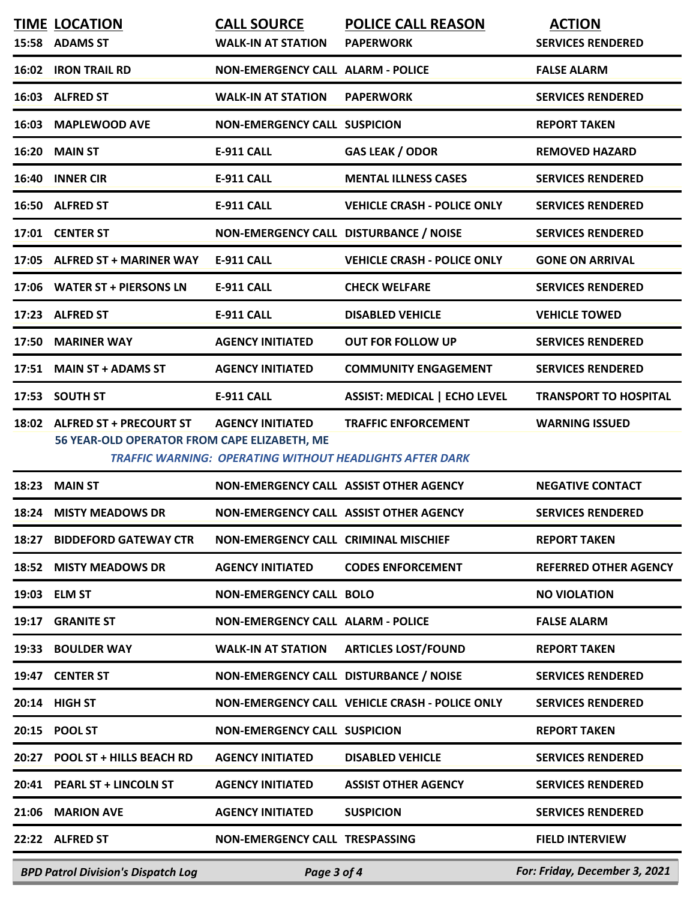|       | <b>TIME LOCATION</b><br>15:58 ADAMS ST                                        | <b>CALL SOURCE</b><br><b>WALK-IN AT STATION</b>                                            | <b>POLICE CALL REASON</b><br><b>PAPERWORK</b>  | <b>ACTION</b><br><b>SERVICES RENDERED</b> |
|-------|-------------------------------------------------------------------------------|--------------------------------------------------------------------------------------------|------------------------------------------------|-------------------------------------------|
|       | 16:02 IRON TRAIL RD                                                           | <b>NON-EMERGENCY CALL ALARM - POLICE</b>                                                   |                                                | <b>FALSE ALARM</b>                        |
|       | 16:03 ALFRED ST                                                               | <b>WALK-IN AT STATION</b>                                                                  | <b>PAPERWORK</b>                               | <b>SERVICES RENDERED</b>                  |
| 16:03 | <b>MAPLEWOOD AVE</b>                                                          | <b>NON-EMERGENCY CALL SUSPICION</b>                                                        |                                                | <b>REPORT TAKEN</b>                       |
| 16:20 | <b>MAIN ST</b>                                                                | <b>E-911 CALL</b>                                                                          | <b>GAS LEAK / ODOR</b>                         | <b>REMOVED HAZARD</b>                     |
|       | 16:40 INNER CIR                                                               | <b>E-911 CALL</b>                                                                          | <b>MENTAL ILLNESS CASES</b>                    | <b>SERVICES RENDERED</b>                  |
|       | 16:50 ALFRED ST                                                               | <b>E-911 CALL</b>                                                                          | <b>VEHICLE CRASH - POLICE ONLY</b>             | <b>SERVICES RENDERED</b>                  |
|       | 17:01 CENTER ST                                                               | NON-EMERGENCY CALL DISTURBANCE / NOISE                                                     |                                                | <b>SERVICES RENDERED</b>                  |
|       | 17:05 ALFRED ST + MARINER WAY                                                 | <b>E-911 CALL</b>                                                                          | <b>VEHICLE CRASH - POLICE ONLY</b>             | <b>GONE ON ARRIVAL</b>                    |
|       | 17:06 WATER ST + PIERSONS LN                                                  | <b>E-911 CALL</b>                                                                          | <b>CHECK WELFARE</b>                           | <b>SERVICES RENDERED</b>                  |
|       | 17:23 ALFRED ST                                                               | <b>E-911 CALL</b>                                                                          | <b>DISABLED VEHICLE</b>                        | <b>VEHICLE TOWED</b>                      |
| 17:50 | <b>MARINER WAY</b>                                                            | <b>AGENCY INITIATED</b>                                                                    | <b>OUT FOR FOLLOW UP</b>                       | <b>SERVICES RENDERED</b>                  |
| 17:51 | <b>MAIN ST + ADAMS ST</b>                                                     | <b>AGENCY INITIATED</b>                                                                    | <b>COMMUNITY ENGAGEMENT</b>                    | <b>SERVICES RENDERED</b>                  |
|       | 17:53 SOUTH ST                                                                | <b>E-911 CALL</b>                                                                          | <b>ASSIST: MEDICAL   ECHO LEVEL</b>            | <b>TRANSPORT TO HOSPITAL</b>              |
|       | 18:02 ALFRED ST + PRECOURT ST<br>56 YEAR-OLD OPERATOR FROM CAPE ELIZABETH, ME | <b>AGENCY INITIATED</b><br><b>TRAFFIC WARNING: OPERATING WITHOUT HEADLIGHTS AFTER DARK</b> | <b>TRAFFIC ENFORCEMENT</b>                     | <b>WARNING ISSUED</b>                     |
| 18:23 | <b>MAIN ST</b>                                                                | NON-EMERGENCY CALL ASSIST OTHER AGENCY                                                     |                                                | <b>NEGATIVE CONTACT</b>                   |
|       | 18:24 MISTY MEADOWS DR                                                        | NON-EMERGENCY CALL ASSIST OTHER AGENCY                                                     |                                                | <b>SERVICES RENDERED</b>                  |
| 18:27 | <b>BIDDEFORD GATEWAY CTR</b>                                                  | NON-EMERGENCY CALL CRIMINAL MISCHIEF                                                       |                                                | <b>REPORT TAKEN</b>                       |
|       | 18:52 MISTY MEADOWS DR                                                        | <b>AGENCY INITIATED</b>                                                                    | <b>CODES ENFORCEMENT</b>                       | <b>REFERRED OTHER AGENCY</b>              |
|       | 19:03 ELM ST                                                                  | <b>NON-EMERGENCY CALL BOLO</b>                                                             |                                                | <b>NO VIOLATION</b>                       |
|       | 19:17 GRANITE ST                                                              | NON-EMERGENCY CALL ALARM - POLICE                                                          |                                                | <b>FALSE ALARM</b>                        |
|       | 19:33 BOULDER WAY                                                             | <b>WALK-IN AT STATION</b>                                                                  | <b>ARTICLES LOST/FOUND</b>                     | <b>REPORT TAKEN</b>                       |
|       | 19:47 CENTER ST                                                               | NON-EMERGENCY CALL DISTURBANCE / NOISE                                                     |                                                | <b>SERVICES RENDERED</b>                  |
|       | 20:14 HIGH ST                                                                 |                                                                                            | NON-EMERGENCY CALL VEHICLE CRASH - POLICE ONLY | <b>SERVICES RENDERED</b>                  |
|       | 20:15 POOL ST                                                                 | <b>NON-EMERGENCY CALL SUSPICION</b>                                                        |                                                | <b>REPORT TAKEN</b>                       |
|       | 20:27 POOL ST + HILLS BEACH RD                                                | <b>AGENCY INITIATED</b>                                                                    | <b>DISABLED VEHICLE</b>                        | <b>SERVICES RENDERED</b>                  |
|       | 20:41 PEARL ST + LINCOLN ST                                                   | <b>AGENCY INITIATED</b>                                                                    | <b>ASSIST OTHER AGENCY</b>                     | <b>SERVICES RENDERED</b>                  |
|       | 21:06 MARION AVE                                                              | <b>AGENCY INITIATED</b>                                                                    | <b>SUSPICION</b>                               | <b>SERVICES RENDERED</b>                  |
|       | 22:22 ALFRED ST                                                               | NON-EMERGENCY CALL TRESPASSING                                                             |                                                | <b>FIELD INTERVIEW</b>                    |
|       | <b>BPD Patrol Division's Dispatch Log</b>                                     | Page 3 of 4                                                                                |                                                | For: Friday, December 3, 2021             |